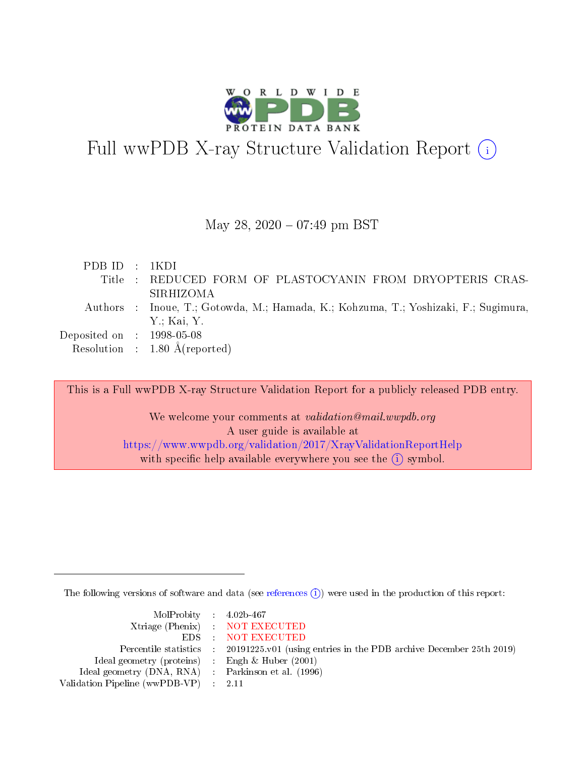

# Full wwPDB X-ray Structure Validation Report  $(i)$

### May 28, 2020 - 07:49 pm BST

| PDBID : 1KDI                                                                        |  |
|-------------------------------------------------------------------------------------|--|
| Title : REDUCED FORM OF PLASTOCYANIN FROM DRYOPTERIS CRAS-                          |  |
| SIRHIZOMA                                                                           |  |
| Authors : Inoue, T.; Gotowda, M.; Hamada, K.; Kohzuma, T.; Yoshizaki, F.; Sugimura, |  |
| Y: Kai, Y.                                                                          |  |
| Deposited on : $1998-05-08$                                                         |  |
| Resolution : $1.80 \text{ Å}$ (reported)                                            |  |

This is a Full wwPDB X-ray Structure Validation Report for a publicly released PDB entry. We welcome your comments at validation@mail.wwpdb.org A user guide is available at <https://www.wwpdb.org/validation/2017/XrayValidationReportHelp> with specific help available everywhere you see the  $(i)$  symbol.

The following versions of software and data (see [references](https://www.wwpdb.org/validation/2017/XrayValidationReportHelp#references)  $\overline{(1)}$ ) were used in the production of this report:

| MolProbity : 4.02b-467                                     |                                                                                            |
|------------------------------------------------------------|--------------------------------------------------------------------------------------------|
|                                                            | Xtriage (Phenix) NOT EXECUTED                                                              |
|                                                            | EDS NOT EXECUTED                                                                           |
|                                                            | Percentile statistics : 20191225.v01 (using entries in the PDB archive December 25th 2019) |
| Ideal geometry (proteins) $\therefore$ Engh & Huber (2001) |                                                                                            |
| Ideal geometry (DNA, RNA) : Parkinson et al. (1996)        |                                                                                            |
| Validation Pipeline (wwPDB-VP) : 2.11                      |                                                                                            |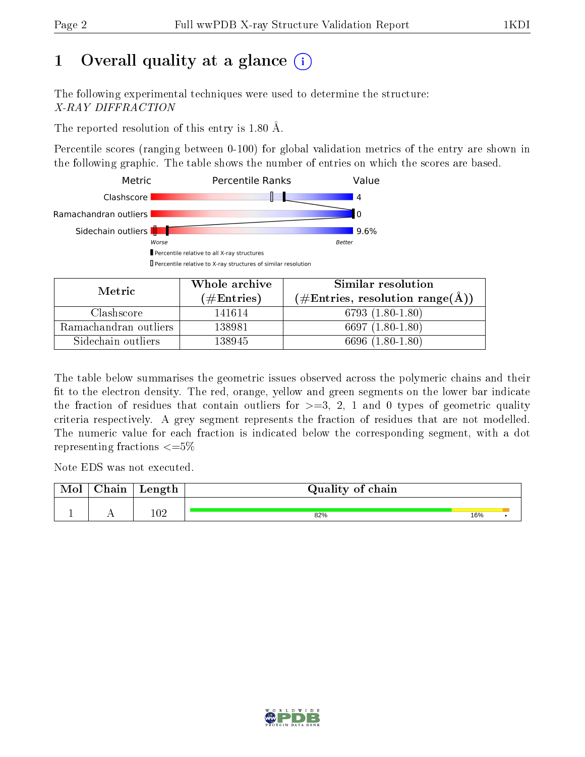# 1 [O](https://www.wwpdb.org/validation/2017/XrayValidationReportHelp#overall_quality)verall quality at a glance  $(i)$

The following experimental techniques were used to determine the structure: X-RAY DIFFRACTION

The reported resolution of this entry is 1.80 Å.

Percentile scores (ranging between 0-100) for global validation metrics of the entry are shown in the following graphic. The table shows the number of entries on which the scores are based.



| Metric                | Whole archive<br>(# $\rm{Entries}$ ) | Similar resolution<br>$(\#\text{Entries}, \text{resolution range}(\text{\AA})$ |  |  |
|-----------------------|--------------------------------------|--------------------------------------------------------------------------------|--|--|
| Clashscore            | 141614                               | $6793(1.80-1.80)$                                                              |  |  |
| Ramachandran outliers | 138981                               | $6697(1.80-1.80)$                                                              |  |  |
| Sidechain outliers    | 138945                               | $(1.80 - 1.80)$<br>6696 (                                                      |  |  |

The table below summarises the geometric issues observed across the polymeric chains and their fit to the electron density. The red, orange, yellow and green segments on the lower bar indicate the fraction of residues that contain outliers for  $\geq=3$ , 2, 1 and 0 types of geometric quality criteria respectively. A grey segment represents the fraction of residues that are not modelled. The numeric value for each fraction is indicated below the corresponding segment, with a dot representing fractions  $\leq=5\%$ 

Note EDS was not executed.

| Mol | $\cap$ hain | $\sim$ $\sim$ $\sim$ $\sim$ $\sim$ $\sim$<br>reugen | Quality of chain |     |  |
|-----|-------------|-----------------------------------------------------|------------------|-----|--|
|     |             |                                                     |                  |     |  |
|     |             | $102\,$                                             | 82%              | 16% |  |

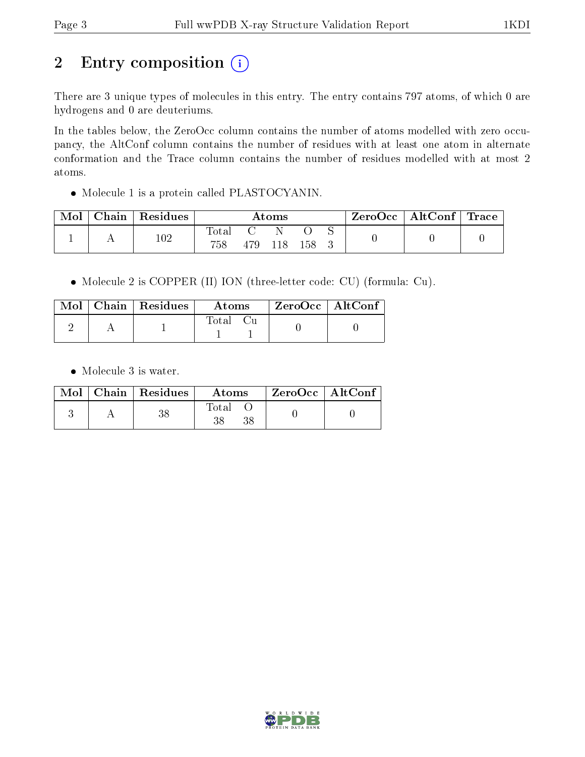# 2 Entry composition (i)

There are 3 unique types of molecules in this entry. The entry contains 797 atoms, of which 0 are hydrogens and 0 are deuteriums.

In the tables below, the ZeroOcc column contains the number of atoms modelled with zero occupancy, the AltConf column contains the number of residues with at least one atom in alternate conformation and the Trace column contains the number of residues modelled with at most 2 atoms.

Molecule 1 is a protein called PLASTOCYANIN.

| Mol |         | Chain   Residues | Atoms |  |  | ZeroOcc   AltConf   Trace |  |  |
|-----|---------|------------------|-------|--|--|---------------------------|--|--|
|     |         |                  |       |  |  |                           |  |  |
| . . | $102\,$ | 758              | 479   |  |  |                           |  |  |

Molecule 2 is COPPER (II) ION (three-letter code: CU) (formula: Cu).

|  | $\text{Mol}$   Chain   Residues | Atoms    | $\mid$ ZeroOcc $\mid$ AltConf |  |
|--|---------------------------------|----------|-------------------------------|--|
|  |                                 | Total Cu |                               |  |

• Molecule 3 is water.

|  | $Mol$   Chain   Residues | Atoms                | $ZeroOcc$   AltConf |
|--|--------------------------|----------------------|---------------------|
|  |                          | $_{\rm Total}$<br>38 |                     |

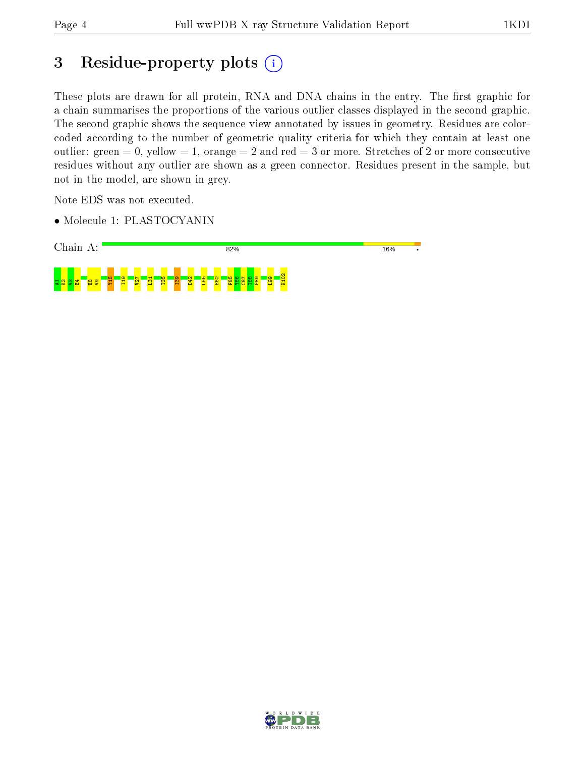# 3 Residue-property plots (i)

These plots are drawn for all protein, RNA and DNA chains in the entry. The first graphic for a chain summarises the proportions of the various outlier classes displayed in the second graphic. The second graphic shows the sequence view annotated by issues in geometry. Residues are colorcoded according to the number of geometric quality criteria for which they contain at least one outlier: green  $= 0$ , yellow  $= 1$ , orange  $= 2$  and red  $= 3$  or more. Stretches of 2 or more consecutive residues without any outlier are shown as a green connector. Residues present in the sample, but not in the model, are shown in grey.

Note EDS was not executed.

• Molecule 1: PLASTOCYANIN



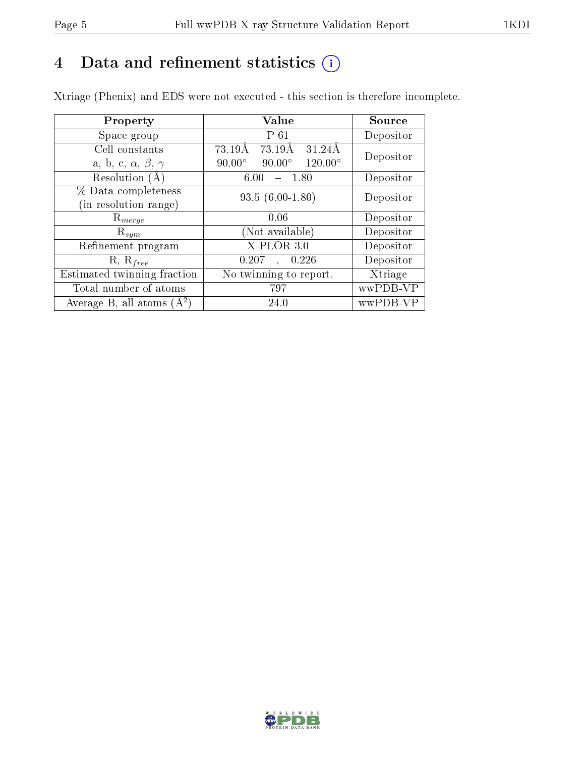# 4 Data and refinement statistics  $(i)$

Xtriage (Phenix) and EDS were not executed - this section is therefore incomplete.

| Property                               | Value                                              | Source    |
|----------------------------------------|----------------------------------------------------|-----------|
| Space group                            | P 61                                               | Depositor |
| Cell constants                         | 73.19Å<br>73.19Å<br>31.24Å                         | Depositor |
| a, b, c, $\alpha$ , $\beta$ , $\gamma$ | $90.00^\circ$<br>$90.00^\circ$<br>$120.00^{\circ}$ |           |
| Resolution (A)                         | 6.00<br>- 1.80                                     | Depositor |
| % Data completeness                    | $93.5(6.00-1.80)$                                  | Depositor |
| (in resolution range)                  |                                                    |           |
| $\mathrm{R}_{merge}$                   | 0.06                                               | Depositor |
| $\mathrm{R}_{sym}$                     | (Not available)                                    | Depositor |
| Refinement program                     | $X-PLOR 3.0$                                       | Depositor |
| $R, R_{free}$                          | 0.207<br>0.226                                     | Depositor |
| Estimated twinning fraction            | $\overline{\text{No}}$ twinning to report.         | Xtriage   |
| Total number of atoms                  | 797                                                | wwPDB-VP  |
| Average B, all atoms $(A^2)$           | 24.0                                               | wwPDB-VP  |

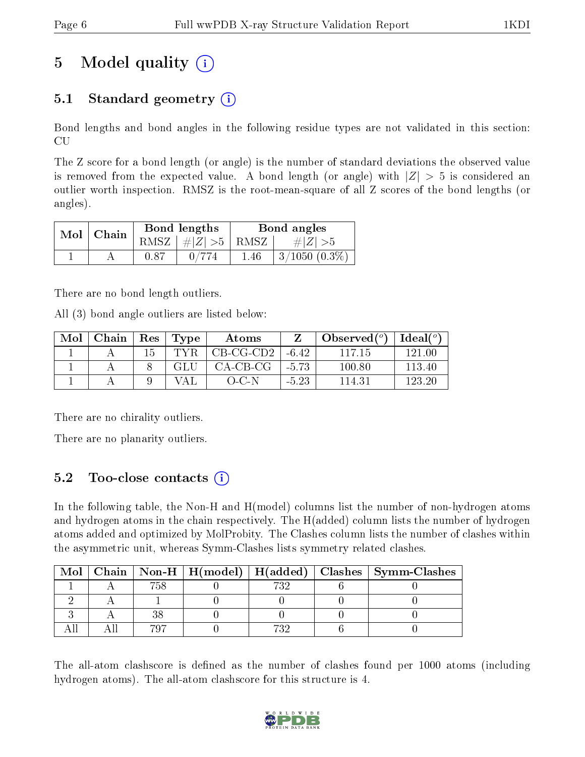# 5 Model quality  $(i)$

# 5.1 Standard geometry  $(i)$

Bond lengths and bond angles in the following residue types are not validated in this section: CU

The Z score for a bond length (or angle) is the number of standard deviations the observed value is removed from the expected value. A bond length (or angle) with  $|Z| > 5$  is considered an outlier worth inspection. RMSZ is the root-mean-square of all Z scores of the bond lengths (or angles).

| Mol | Chain |      | Bond lengths                     | Bond angles |                        |  |
|-----|-------|------|----------------------------------|-------------|------------------------|--|
|     |       |      | RMSZ $\mid \#  Z  > 5 \mid$ RMSZ |             | # Z  > 5               |  |
|     |       | 0.87 |                                  | 1.46        | $\pm 3/1050$ $(0.3\%)$ |  |

There are no bond length outliers.

All (3) bond angle outliers are listed below:

| Mol | Chain | $\operatorname{Res}$ | Type | Atoms            |         | Observed $(°)$ | $\text{Ideal}(\textsuperscript{o})$ |
|-----|-------|----------------------|------|------------------|---------|----------------|-------------------------------------|
|     |       | 15                   |      | $CB-CG-CD2$      | $-6.42$ | 117 15         | 121.00                              |
|     |       |                      | GLU  | $CA-CB-CG$       | $-5.73$ | 100.80         | 113.40                              |
|     |       |                      | '′A∟ | $()$ $()$ $\Box$ | $-5.23$ | 114.31         | 123.20                              |

There are no chirality outliers.

There are no planarity outliers.

## 5.2 Too-close contacts (i)

In the following table, the Non-H and H(model) columns list the number of non-hydrogen atoms and hydrogen atoms in the chain respectively. The H(added) column lists the number of hydrogen atoms added and optimized by MolProbity. The Clashes column lists the number of clashes within the asymmetric unit, whereas Symm-Clashes lists symmetry related clashes.

| Mol |     |     | Chain   Non-H   H(model)   H(added)   Clashes   Symm-Clashes |
|-----|-----|-----|--------------------------------------------------------------|
|     | 758 | 732 |                                                              |
|     |     |     |                                                              |
|     |     |     |                                                              |
|     | 707 | 729 |                                                              |

The all-atom clashscore is defined as the number of clashes found per 1000 atoms (including hydrogen atoms). The all-atom clashscore for this structure is 4.

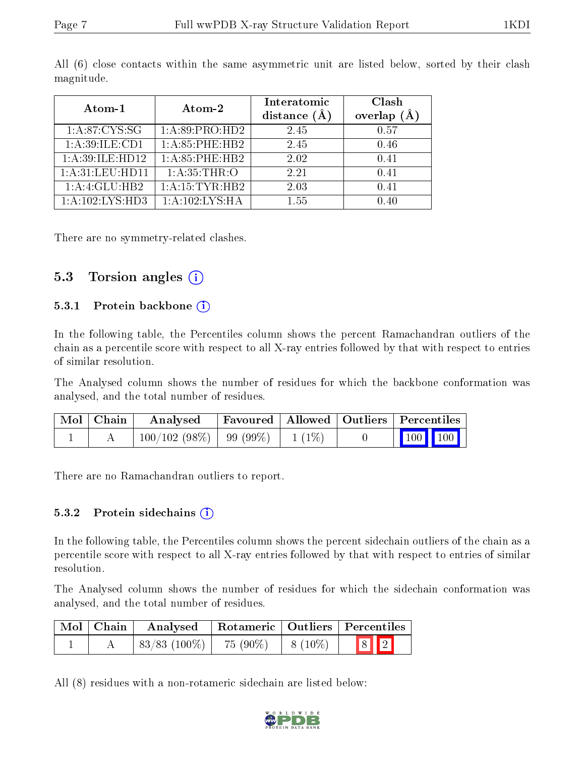| Atom-1             | Atom-2             | Interatomic<br>distance $(A)$ | Clash<br>overlap $(A)$ |
|--------------------|--------------------|-------------------------------|------------------------|
| 1: A:87:CYS:SG     | 1:A:89:PRO:HD2     | 2.45                          | 0.57                   |
| 1: A:39: ILE: CD1  | 1: A:85:PHE:HB2    | 2.45                          | 0.46                   |
| 1:A:39:ILE:HD12    | 1: A:85:PHE:HB2    | 2.02                          | 0.41                   |
| 1: A:31: LEU: HD11 | 1:A:35:THR:O       | 2.21                          | 0.41                   |
| 1:A:4:GLU:HB2      | 1: A: 15: TYR: HB2 | 2.03                          | 0.41                   |
| 1:A:102:LYS:HD3    | 1: A: 102: LYS: HA | 155                           | 0.40                   |

All (6) close contacts within the same asymmetric unit are listed below, sorted by their clash magnitude.

There are no symmetry-related clashes.

### 5.3 Torsion angles (i)

#### 5.3.1 Protein backbone  $(i)$

In the following table, the Percentiles column shows the percent Ramachandran outliers of the chain as a percentile score with respect to all X-ray entries followed by that with respect to entries of similar resolution.

The Analysed column shows the number of residues for which the backbone conformation was analysed, and the total number of residues.

| Mol   Chain | Analysed                              |  | Favoured   Allowed   Outliers   Percentiles                  |
|-------------|---------------------------------------|--|--------------------------------------------------------------|
|             | $100/102(98\%)$   99 (99\%)   1 (1\%) |  | $\begin{array}{ c c c c c }\n\hline\n100 & 100\n\end{array}$ |

There are no Ramachandran outliers to report.

#### 5.3.2 Protein sidechains (i)

In the following table, the Percentiles column shows the percent sidechain outliers of the chain as a percentile score with respect to all X-ray entries followed by that with respect to entries of similar resolution.

The Analysed column shows the number of residues for which the sidechain conformation was analysed, and the total number of residues.

| Mol   Chain | Analysed   Rotameric   Outliers   Percentiles |            |              |                         |
|-------------|-----------------------------------------------|------------|--------------|-------------------------|
|             | $\mid 83/83 \ (100\%) \mid$                   | $75(90\%)$ | $  8 (10\%)$ | $\boxed{8}$ $\boxed{2}$ |

All (8) residues with a non-rotameric sidechain are listed below:

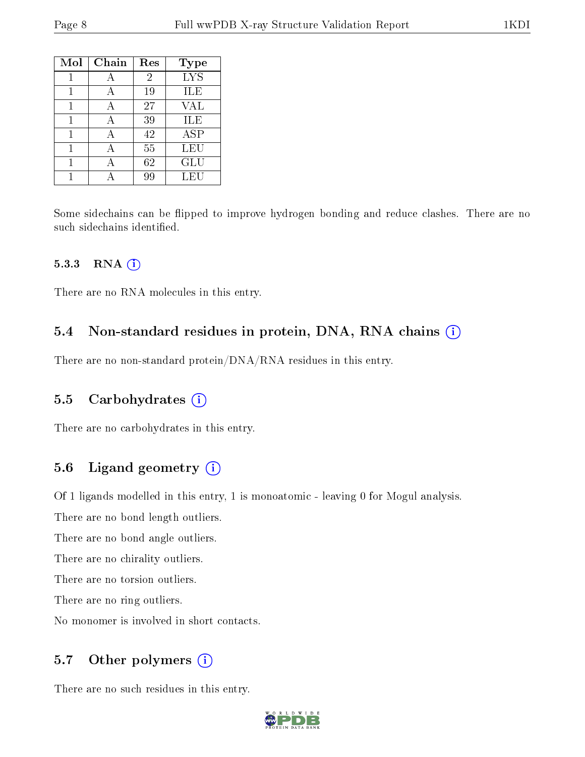| Mol | Chain | Res            | Type       |
|-----|-------|----------------|------------|
|     |       | $\overline{2}$ | <b>LYS</b> |
|     | А     | 19             | ILE        |
|     | А     | 27             | <b>VAL</b> |
|     | А     | 39             | ILE        |
| 1   | А     | 42             | <b>ASP</b> |
| 1   | А     | 55             | LEU        |
| 1   | А     | 62             | GLU        |
|     |       | 99             | LEU        |

Some sidechains can be flipped to improve hydrogen bonding and reduce clashes. There are no such sidechains identified.

#### 5.3.3 RNA (i)

There are no RNA molecules in this entry.

#### 5.4 Non-standard residues in protein, DNA, RNA chains  $(i)$

There are no non-standard protein/DNA/RNA residues in this entry.

#### 5.5 Carbohydrates  $(i)$

There are no carbohydrates in this entry.

### 5.6 Ligand geometry  $(i)$

Of 1 ligands modelled in this entry, 1 is monoatomic - leaving 0 for Mogul analysis.

There are no bond length outliers.

There are no bond angle outliers.

There are no chirality outliers.

There are no torsion outliers.

There are no ring outliers.

No monomer is involved in short contacts.

### 5.7 [O](https://www.wwpdb.org/validation/2017/XrayValidationReportHelp#nonstandard_residues_and_ligands)ther polymers (i)

There are no such residues in this entry.

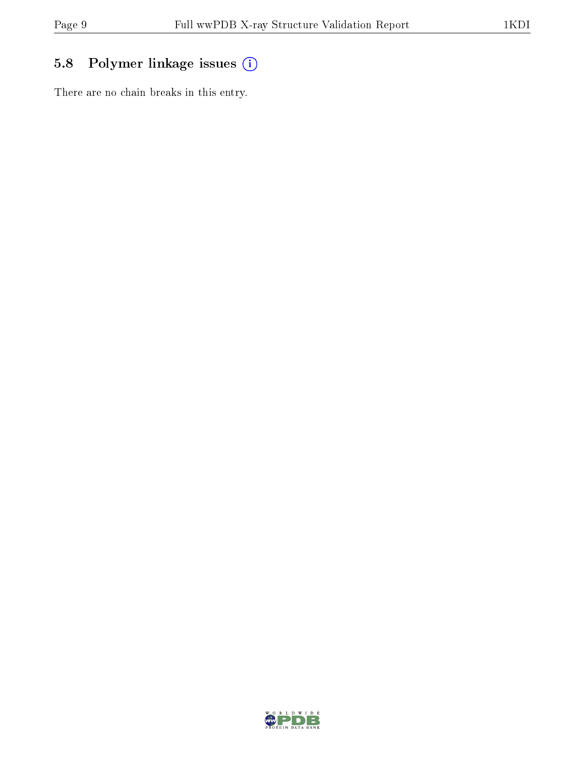# 5.8 Polymer linkage issues (i)

There are no chain breaks in this entry.